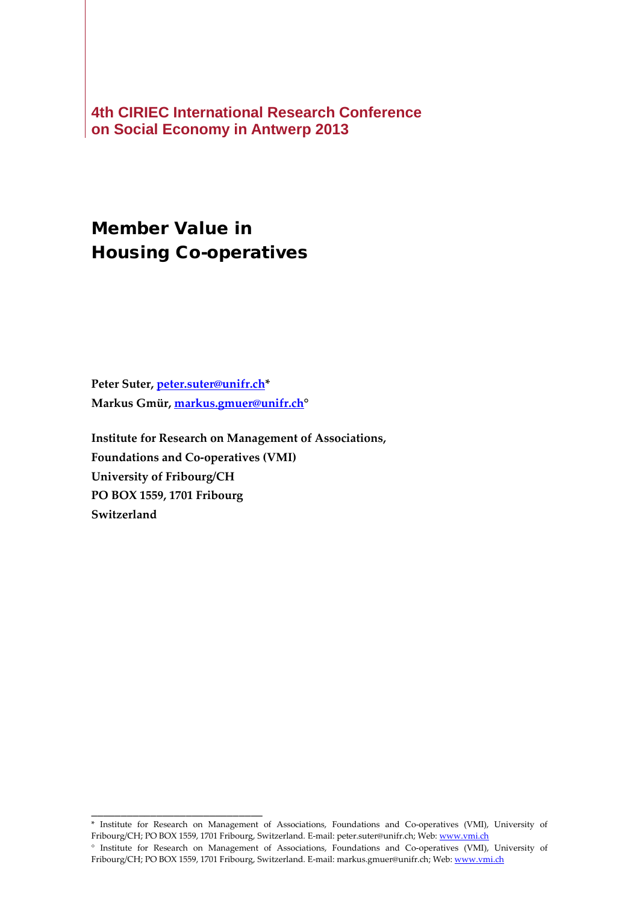**4th CIRIEC International Research Conference on Social Economy in Antwerp 2013**

# Member Value in Housing Co-operatives

**Peter Suter, [peter.suter@unifr.ch\\*](mailto:peter.suter@unifr.ch) Markus Gmür, [markus.gmuer@unifr.ch°](mailto:markus.gmuer@unifr.ch)**

\_\_\_\_\_\_\_\_\_\_\_\_\_\_\_\_\_\_\_\_\_\_\_\_\_\_\_\_\_

**Institute for Research on Management of Associations, Foundations and Co-operatives (VMI) University of Fribourg/CH PO BOX 1559, 1701 Fribourg Switzerland**

<sup>\*</sup> Institute for Research on Management of Associations, Foundations and Co-operatives (VMI), University of Fribourg/CH; PO BOX 1559, 1701 Fribourg, Switzerland. E-mail: peter.suter@unifr.ch; Web[: www.vmi.ch](http://www.vmi.ch/)

<sup>°</sup> Institute for Research on Management of Associations, Foundations and Co-operatives (VMI), University of Fribourg/CH; PO BOX 1559, 1701 Fribourg, Switzerland. E-mail: markus.gmuer@unifr.ch; Web[: www.vmi.ch](http://www.vmi.ch/)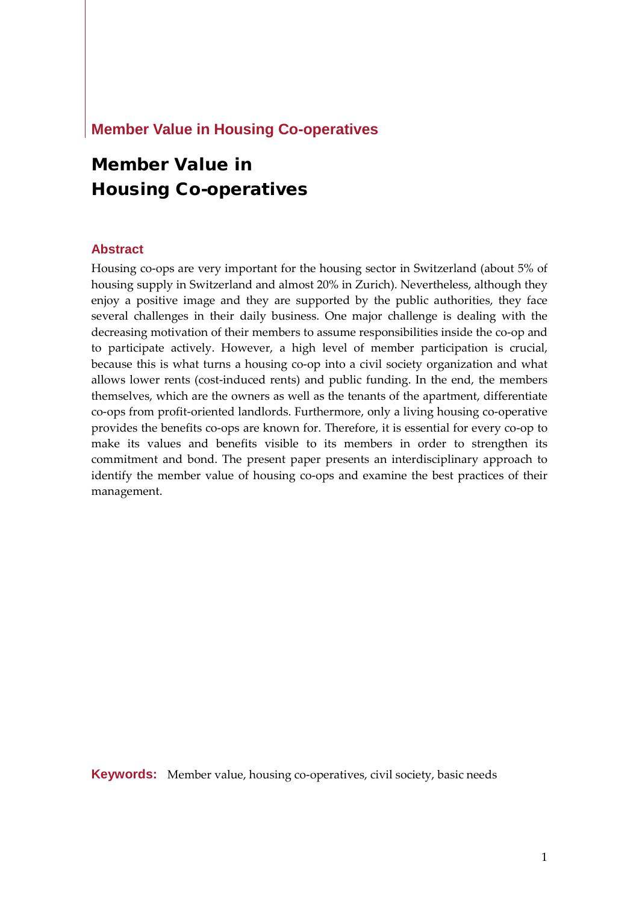#### **Member Value in Housing Co-operatives**

# Member Value in Housing Co-operatives

#### **Abstract**

Housing co-ops are very important for the housing sector in Switzerland (about 5% of housing supply in Switzerland and almost 20% in Zurich). Nevertheless, although they enjoy a positive image and they are supported by the public authorities, they face several challenges in their daily business. One major challenge is dealing with the decreasing motivation of their members to assume responsibilities inside the co-op and to participate actively. However, a high level of member participation is crucial, because this is what turns a housing co-op into a civil society organization and what allows lower rents (cost-induced rents) and public funding. In the end, the members themselves, which are the owners as well as the tenants of the apartment, differentiate co-ops from profit-oriented landlords. Furthermore, only a living housing co-operative provides the benefits co-ops are known for. Therefore, it is essential for every co-op to make its values and benefits visible to its members in order to strengthen its commitment and bond. The present paper presents an interdisciplinary approach to identify the member value of housing co-ops and examine the best practices of their management.

**Keywords:** Member value, housing co-operatives, civil society, basic needs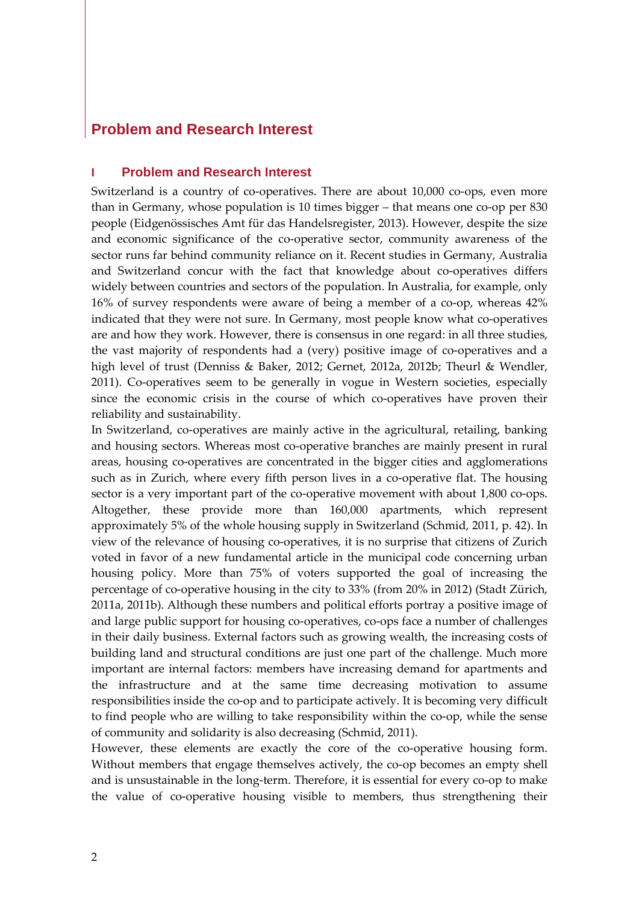## **Problem and Research Interest**

#### **I Problem and Research Interest**

Switzerland is a country of co-operatives. There are about 10,000 co-ops, even more than in Germany, whose population is 10 times bigger – that means one co-op per 830 people [\(Eidgenössisches Amt für das Handelsregister, 2013\)](#page-17-0). However, despite the size and economic significance of the co-operative sector, community awareness of the sector runs far behind community reliance on it. Recent studies in Germany, Australia and Switzerland concur with the fact that knowledge about co-operatives differs widely between countries and sectors of the population. In Australia, for example, only 16% of survey respondents were aware of being a member of a co-op, whereas 42% indicated that they were not sure. In Germany, most people know what co-operatives are and how they work. However, there is consensus in one regard: in all three studies, the vast majority of respondents had a (very) positive image of co-operatives and a high level of trust [\(Denniss & Baker, 2012;](#page-17-1) [Gernet, 2012a,](#page-17-2) [2012b;](#page-17-3) [Theurl & Wendler,](#page-18-0)  [2011\)](#page-18-0). Co-operatives seem to be generally in vogue in Western societies, especially since the economic crisis in the course of which co-operatives have proven their reliability and sustainability.

In Switzerland, co-operatives are mainly active in the agricultural, retailing, banking and housing sectors. Whereas most co-operative branches are mainly present in rural areas, housing co-operatives are concentrated in the bigger cities and agglomerations such as in Zurich, where every fifth person lives in a co-operative flat. The housing sector is a very important part of the co-operative movement with about 1,800 co-ops. Altogether, these provide more than 160,000 apartments, which represent approximately 5% of the whole housing supply in Switzerland [\(Schmid, 2011, p. 42\)](#page-17-4). In view of the relevance of housing co-operatives, it is no surprise that citizens of Zurich voted in favor of a new fundamental article in the municipal code concerning urban housing policy. More than 75% of voters supported the goal of increasing the percentage of co-operative housing in the city to 33% (from 20% in 2012) [\(Stadt Zürich,](#page-17-5)  [2011a,](#page-17-5) [2011b\)](#page-18-1). Although these numbers and political efforts portray a positive image of and large public support for housing co-operatives, co-ops face a number of challenges in their daily business. External factors such as growing wealth, the increasing costs of building land and structural conditions are just one part of the challenge. Much more important are internal factors: members have increasing demand for apartments and the infrastructure and at the same time decreasing motivation to assume responsibilities inside the co-op and to participate actively. It is becoming very difficult to find people who are willing to take responsibility within the co-op, while the sense of community and solidarity is also decreasing [\(Schmid, 2011\)](#page-17-4).

However, these elements are exactly the core of the co-operative housing form. Without members that engage themselves actively, the co-op becomes an empty shell and is unsustainable in the long-term. Therefore, it is essential for every co-op to make the value of co-operative housing visible to members, thus strengthening their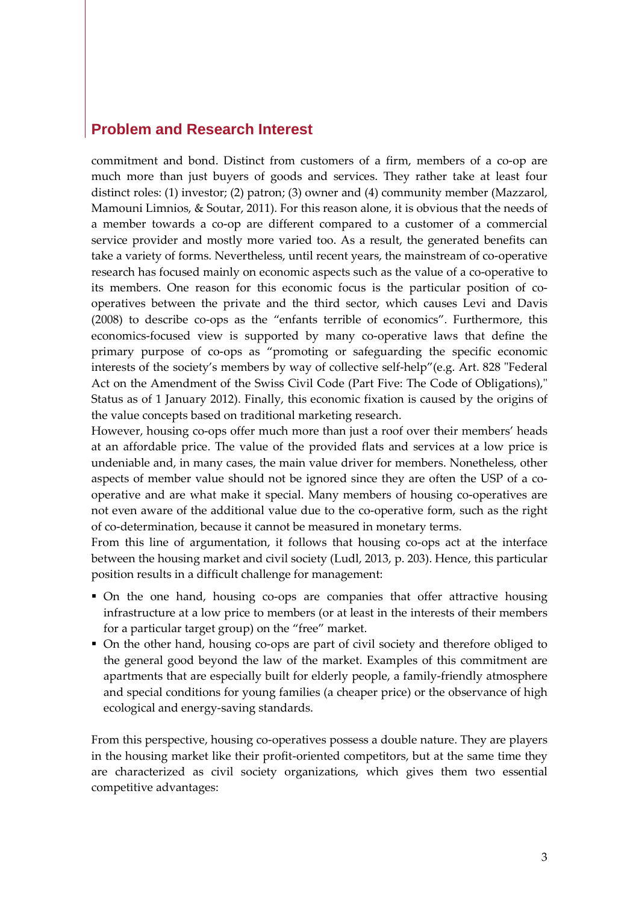### **Problem and Research Interest**

commitment and bond. Distinct from customers of a firm, members of a co-op are much more than just buyers of goods and services. They rather take at least four distinct roles: (1) investor; (2) patron; (3) owner and (4) community member [\(Mazzarol,](#page-17-6)  [Mamouni Limnios, & Soutar, 2011\)](#page-17-6). For this reason alone, it is obvious that the needs of a member towards a co-op are different compared to a customer of a commercial service provider and mostly more varied too. As a result, the generated benefits can take a variety of forms. Nevertheless, until recent years, the mainstream of co-operative research has focused mainly on economic aspects such as the value of a co-operative to its members. One reason for this economic focus is the particular position of cooperatives between the private and the third sector, which causes Levi and Davis [\(2008\)](#page-17-7) to describe co-ops as the "enfants terrible of economics". Furthermore, this economics-focused view is supported by many co-operative laws that define the primary purpose of co-ops as "promoting or safeguarding the specific economic interests of the society's members by way of collective self-help"[\(e.g. Art. 828 "Federal](#page-17-8)  [Act on the Amendment of the Swiss Civil Code \(Part Five: The Code of Obligations\),"](#page-17-8)  [Status as of 1 January 2012\)](#page-17-8). Finally, this economic fixation is caused by the origins of the value concepts based on traditional marketing research.

However, housing co-ops offer much more than just a roof over their members' heads at an affordable price. The value of the provided flats and services at a low price is undeniable and, in many cases, the main value driver for members. Nonetheless, other aspects of member value should not be ignored since they are often the USP of a cooperative and are what make it special. Many members of housing co-operatives are not even aware of the additional value due to the co-operative form, such as the right of co-determination, because it cannot be measured in monetary terms.

From this line of argumentation, it follows that housing co-ops act at the interface between the housing market and civil society [\(Ludl, 2013, p. 203\)](#page-17-9). Hence, this particular position results in a difficult challenge for management:

- On the one hand, housing co-ops are companies that offer attractive housing infrastructure at a low price to members (or at least in the interests of their members for a particular target group) on the "free" market.
- On the other hand, housing co-ops are part of civil society and therefore obliged to the general good beyond the law of the market. Examples of this commitment are apartments that are especially built for elderly people, a family-friendly atmosphere and special conditions for young families (a cheaper price) or the observance of high ecological and energy-saving standards.

From this perspective, housing co-operatives possess a double nature. They are players in the housing market like their profit-oriented competitors, but at the same time they are characterized as civil society organizations, which gives them two essential competitive advantages: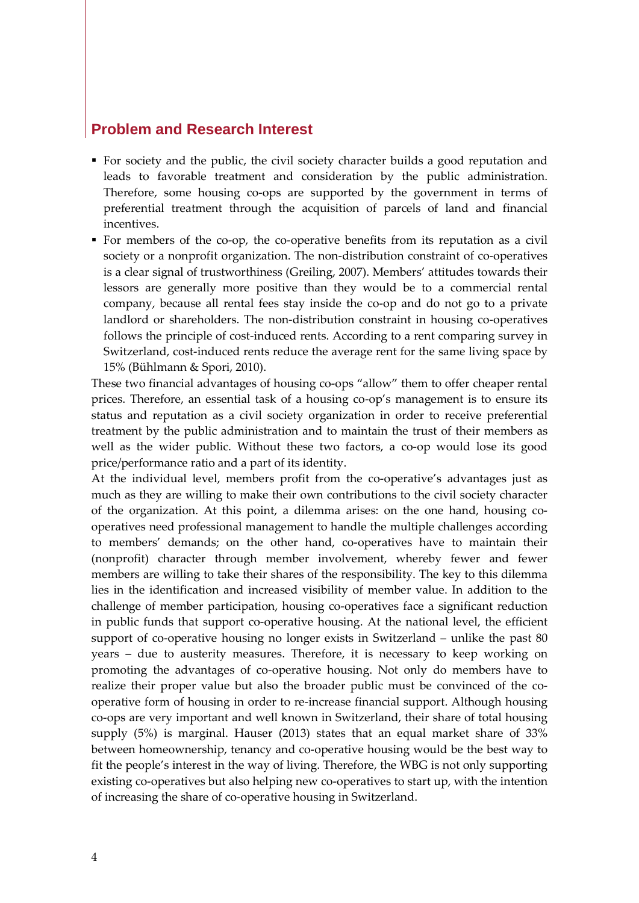#### **Problem and Research Interest**

- For society and the public, the civil society character builds a good reputation and leads to favorable treatment and consideration by the public administration. Therefore, some housing co-ops are supported by the government in terms of preferential treatment through the acquisition of parcels of land and financial incentives.
- For members of the co-op, the co-operative benefits from its reputation as a civil society or a nonprofit organization. The non-distribution constraint of co-operatives is a clear signal of trustworthiness [\(Greiling, 2007\)](#page-17-10). Members' attitudes towards their lessors are generally more positive than they would be to a commercial rental company, because all rental fees stay inside the co-op and do not go to a private landlord or shareholders. The non-distribution constraint in housing co-operatives follows the principle of cost-induced rents. According to a rent comparing survey in Switzerland, cost-induced rents reduce the average rent for the same living space by 15% [\(Bühlmann & Spori, 2010\)](#page-17-11).

These two financial advantages of housing co-ops "allow" them to offer cheaper rental prices. Therefore, an essential task of a housing co-op's management is to ensure its status and reputation as a civil society organization in order to receive preferential treatment by the public administration and to maintain the trust of their members as well as the wider public. Without these two factors, a co-op would lose its good price/performance ratio and a part of its identity.

At the individual level, members profit from the co-operative's advantages just as much as they are willing to make their own contributions to the civil society character of the organization. At this point, a dilemma arises: on the one hand, housing cooperatives need professional management to handle the multiple challenges according to members' demands; on the other hand, co-operatives have to maintain their (nonprofit) character through member involvement, whereby fewer and fewer members are willing to take their shares of the responsibility. The key to this dilemma lies in the identification and increased visibility of member value. In addition to the challenge of member participation, housing co-operatives face a significant reduction in public funds that support co-operative housing. At the national level, the efficient support of co-operative housing no longer exists in Switzerland – unlike the past 80 years – due to austerity measures. Therefore, it is necessary to keep working on promoting the advantages of co-operative housing. Not only do members have to realize their proper value but also the broader public must be convinced of the cooperative form of housing in order to re-increase financial support. Although housing co-ops are very important and well known in Switzerland, their share of total housing supply (5%) is marginal. Hauser [\(2013\)](#page-17-12) states that an equal market share of 33% between homeownership, tenancy and co-operative housing would be the best way to fit the people's interest in the way of living. Therefore, the WBG is not only supporting existing co-operatives but also helping new co-operatives to start up, with the intention of increasing the share of co-operative housing in Switzerland.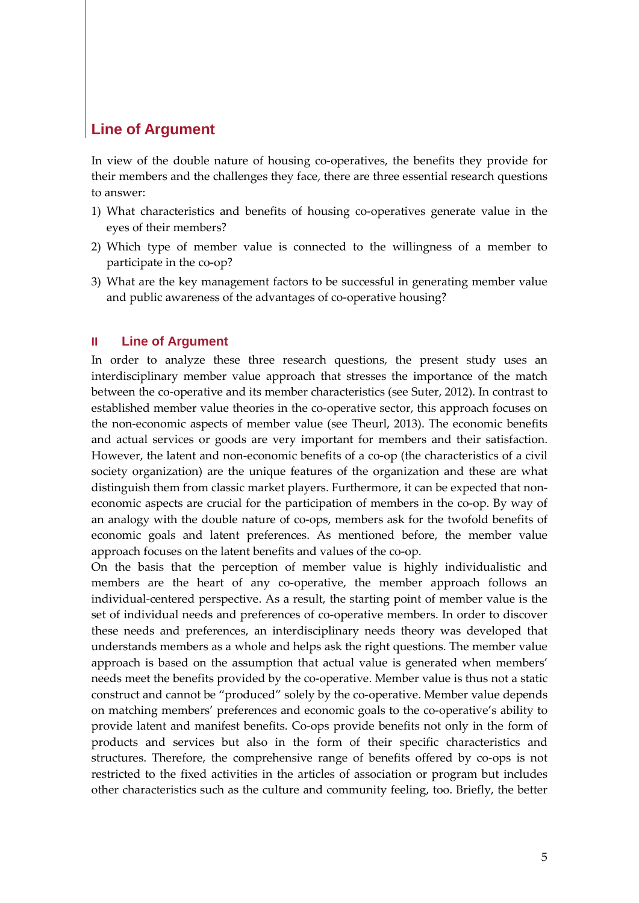### **Line of Argument**

In view of the double nature of housing co-operatives, the benefits they provide for their members and the challenges they face, there are three essential research questions to answer:

- 1) What characteristics and benefits of housing co-operatives generate value in the eyes of their members?
- 2) Which type of member value is connected to the willingness of a member to participate in the co-op?
- 3) What are the key management factors to be successful in generating member value and public awareness of the advantages of co-operative housing?

#### **II Line of Argument**

In order to analyze these three research questions, the present study uses an interdisciplinary member value approach that stresses the importance of the match between the co-operative and its member characteristics [\(see Suter, 2012\)](#page-18-2). In contrast to established member value theories in the co-operative sector, this approach focuses on the non-economic aspects of member value [\(see Theurl, 2013\)](#page-18-3). The economic benefits and actual services or goods are very important for members and their satisfaction. However, the latent and non-economic benefits of a co-op (the characteristics of a civil society organization) are the unique features of the organization and these are what distinguish them from classic market players. Furthermore, it can be expected that noneconomic aspects are crucial for the participation of members in the co-op. By way of an analogy with the double nature of co-ops, members ask for the twofold benefits of economic goals and latent preferences. As mentioned before, the member value approach focuses on the latent benefits and values of the co-op.

On the basis that the perception of member value is highly individualistic and members are the heart of any co-operative, the member approach follows an individual-centered perspective. As a result, the starting point of member value is the set of individual needs and preferences of co-operative members. In order to discover these needs and preferences, an interdisciplinary needs theory was developed that understands members as a whole and helps ask the right questions. The member value approach is based on the assumption that actual value is generated when members' needs meet the benefits provided by the co-operative. Member value is thus not a static construct and cannot be "produced" solely by the co-operative. Member value depends on matching members' preferences and economic goals to the co-operative's ability to provide latent and manifest benefits. Co-ops provide benefits not only in the form of products and services but also in the form of their specific characteristics and structures. Therefore, the comprehensive range of benefits offered by co-ops is not restricted to the fixed activities in the articles of association or program but includes other characteristics such as the culture and community feeling, too. Briefly, the better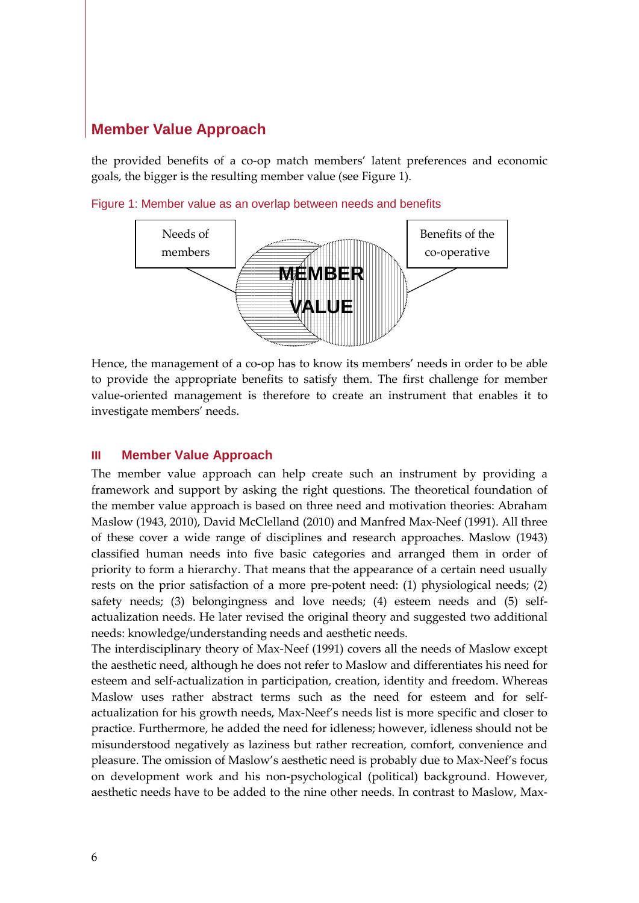the provided benefits of a co-op match members' latent preferences and economic goals, the bigger is the resulting member value (see [Figure 1\)](#page-6-0).



<span id="page-6-0"></span>Figure 1: Member value as an overlap between needs and benefits

Hence, the management of a co-op has to know its members' needs in order to be able to provide the appropriate benefits to satisfy them. The first challenge for member value-oriented management is therefore to create an instrument that enables it to investigate members' needs.

#### **III Member Value Approach**

The member value approach can help create such an instrument by providing a framework and support by asking the right questions. The theoretical foundation of the member value approach is based on three need and motivation theories: Abraham Maslow [\(1943,](#page-17-13) [2010\)](#page-17-14), David McClelland [\(2010\)](#page-17-15) and Manfred Max-Neef [\(1991\)](#page-17-16). All three of these cover a wide range of disciplines and research approaches. Maslow (1943) classified human needs into five basic categories and arranged them in order of priority to form a hierarchy. That means that the appearance of a certain need usually rests on the prior satisfaction of a more pre-potent need: (1) physiological needs; (2) safety needs; (3) belongingness and love needs; (4) esteem needs and (5) selfactualization needs. He later revised the original theory and suggested two additional needs: knowledge/understanding needs and aesthetic needs.

The interdisciplinary theory of Max-Neef [\(1991\)](#page-17-16) covers all the needs of Maslow except the aesthetic need, although he does not refer to Maslow and differentiates his need for esteem and self-actualization in participation, creation, identity and freedom. Whereas Maslow uses rather abstract terms such as the need for esteem and for selfactualization for his growth needs, Max-Neef's needs list is more specific and closer to practice. Furthermore, he added the need for idleness; however, idleness should not be misunderstood negatively as laziness but rather recreation, comfort, convenience and pleasure. The omission of Maslow's aesthetic need is probably due to Max-Neef's focus on development work and his non-psychological (political) background. However, aesthetic needs have to be added to the nine other needs. In contrast to Maslow, Max-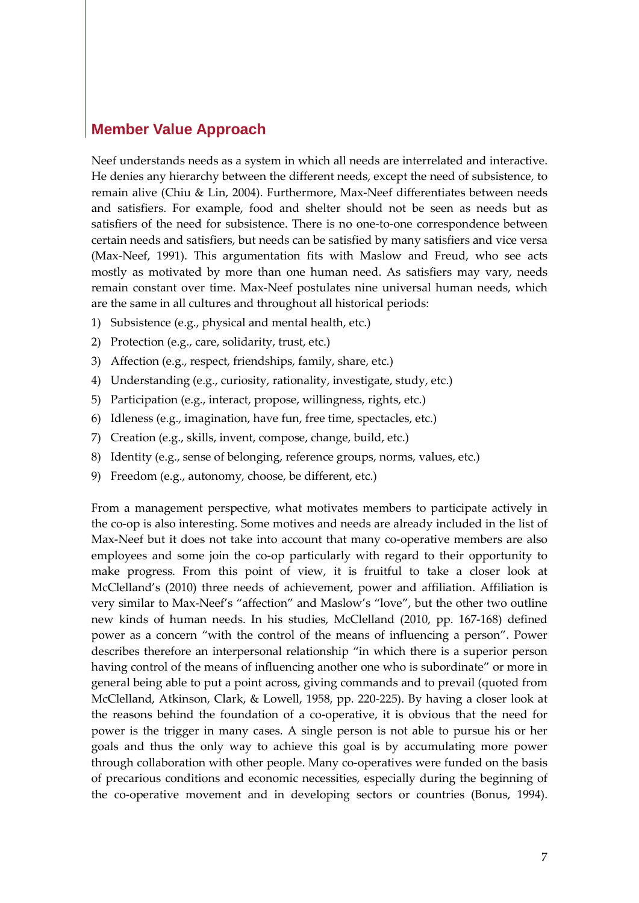Neef understands needs as a system in which all needs are interrelated and interactive. He denies any hierarchy between the different needs, except the need of subsistence, to remain alive [\(Chiu & Lin, 2004\)](#page-17-17). Furthermore, Max-Neef differentiates between needs and satisfiers. For example, food and shelter should not be seen as needs but as satisfiers of the need for subsistence. There is no one-to-one correspondence between certain needs and satisfiers, but needs can be satisfied by many satisfiers and vice versa [\(Max-Neef, 1991\)](#page-17-16). This argumentation fits with Maslow and Freud, who see acts mostly as motivated by more than one human need. As satisfiers may vary, needs remain constant over time. Max-Neef postulates nine universal human needs, which are the same in all cultures and throughout all historical periods:

- 1) Subsistence (e.g., physical and mental health, etc.)
- 2) Protection (e.g., care, solidarity, trust, etc.)
- 3) Affection (e.g., respect, friendships, family, share, etc.)
- 4) Understanding (e.g., curiosity, rationality, investigate, study, etc.)
- 5) Participation (e.g., interact, propose, willingness, rights, etc.)
- 6) Idleness (e.g., imagination, have fun, free time, spectacles, etc.)
- 7) Creation (e.g., skills, invent, compose, change, build, etc.)
- 8) Identity (e.g., sense of belonging, reference groups, norms, values, etc.)
- 9) Freedom (e.g., autonomy, choose, be different, etc.)

From a management perspective, what motivates members to participate actively in the co-op is also interesting. Some motives and needs are already included in the list of Max-Neef but it does not take into account that many co-operative members are also employees and some join the co-op particularly with regard to their opportunity to make progress. From this point of view, it is fruitful to take a closer look at McClelland's [\(2010\)](#page-17-15) three needs of achievement, power and affiliation. Affiliation is very similar to Max-Neef's "affection" and Maslow's "love", but the other two outline new kinds of human needs. In his studies, McClelland [\(2010, pp. 167-168\)](#page-17-15) defined power as a concern "with the control of the means of influencing a person". Power describes therefore an interpersonal relationship "in which there is a superior person having control of the means of influencing another one who is subordinate" or more in general being able to put a point across, giving commands and to prevail [\(quoted from](#page-17-18)  [McClelland, Atkinson, Clark, & Lowell, 1958, pp. 220-225\)](#page-17-18). By having a closer look at the reasons behind the foundation of a co-operative, it is obvious that the need for power is the trigger in many cases. A single person is not able to pursue his or her goals and thus the only way to achieve this goal is by accumulating more power through collaboration with other people. Many co-operatives were funded on the basis of precarious conditions and economic necessities, especially during the beginning of the co-operative movement and in developing sectors or countries [\(Bonus, 1994\)](#page-17-19).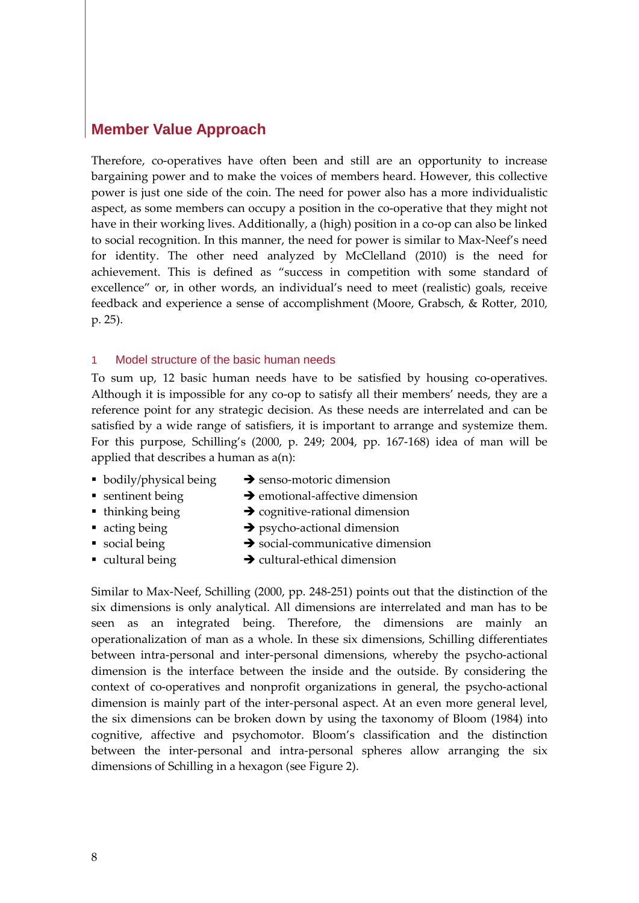Therefore, co-operatives have often been and still are an opportunity to increase bargaining power and to make the voices of members heard. However, this collective power is just one side of the coin. The need for power also has a more individualistic aspect, as some members can occupy a position in the co-operative that they might not have in their working lives. Additionally, a (high) position in a co-op can also be linked to social recognition. In this manner, the need for power is similar to Max-Neef's need for identity. The other need analyzed by McClelland [\(2010\)](#page-17-15) is the need for achievement. This is defined as "success in competition with some standard of excellence" or, in other words, an individual's need to meet (realistic) goals, receive feedback and experience a sense of accomplishment [\(Moore, Grabsch, & Rotter, 2010,](#page-17-20)  [p. 25\)](#page-17-20).

#### 1 Model structure of the basic human needs

To sum up, 12 basic human needs have to be satisfied by housing co-operatives. Although it is impossible for any co-op to satisfy all their members' needs, they are a reference point for any strategic decision. As these needs are interrelated and can be satisfied by a wide range of satisfiers, it is important to arrange and systemize them. For this purpose, Schilling's [\(2000, p. 249;](#page-17-21) [2004, pp. 167-168\)](#page-17-22) idea of man will be applied that describes a human as a(n):

- 
- bodily/physical being  $\rightarrow$  senso-motoric dimension
- 
- **sentinent being**  $\rightarrow$  **emotional-affective dimension**
- $\bullet$  thinking being  $\bullet$  cognitive-rational dimension
- $\bullet$  acting being  $\bullet$  psycho-actional dimension
- $\bullet$  social being  $\bullet$  social-communicative dimension
- 
- $\bullet$  cultural being  $\bullet$  cultural-ethical dimension
	-

Similar to Max-Neef, Schilling [\(2000, pp. 248-251\)](#page-17-21) points out that the distinction of the six dimensions is only analytical. All dimensions are interrelated and man has to be seen as an integrated being. Therefore, the dimensions are mainly an operationalization of man as a whole. In these six dimensions, Schilling differentiates between intra-personal and inter-personal dimensions, whereby the psycho-actional dimension is the interface between the inside and the outside. By considering the context of co-operatives and nonprofit organizations in general, the psycho-actional dimension is mainly part of the inter-personal aspect. At an even more general level, the six dimensions can be broken down by using the taxonomy of Bloom [\(1984\)](#page-17-23) into cognitive, affective and psychomotor. Bloom's classification and the distinction between the inter-personal and intra-personal spheres allow arranging the six dimensions of Schilling in a hexagon (see [Figure 2\)](#page-9-0).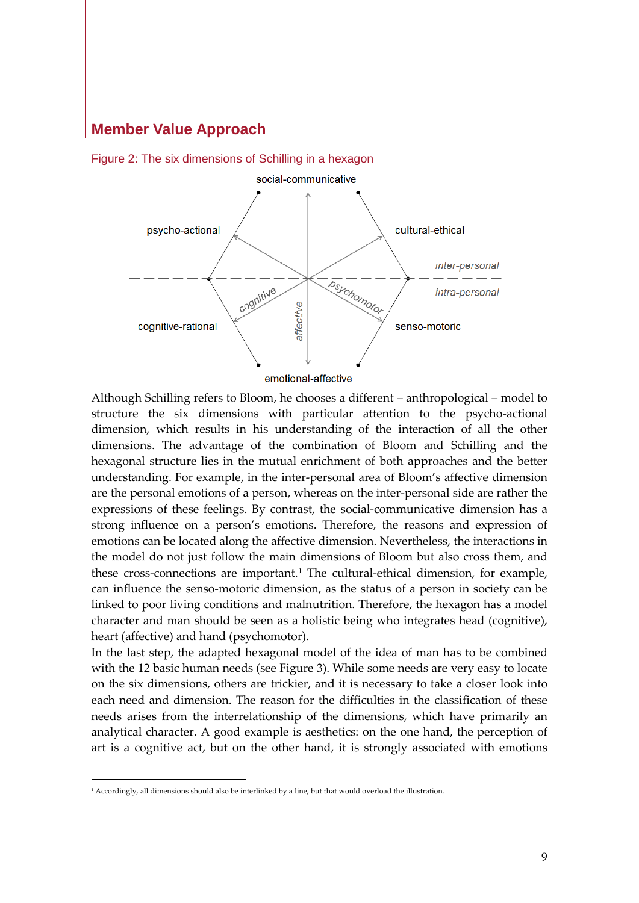

<span id="page-9-0"></span>

Although Schilling refers to Bloom, he chooses a different – anthropological – model to structure the six dimensions with particular attention to the psycho-actional dimension, which results in his understanding of the interaction of all the other dimensions. The advantage of the combination of Bloom and Schilling and the hexagonal structure lies in the mutual enrichment of both approaches and the better understanding. For example, in the inter-personal area of Bloom's affective dimension are the personal emotions of a person, whereas on the inter-personal side are rather the expressions of these feelings. By contrast, the social-communicative dimension has a strong influence on a person's emotions. Therefore, the reasons and expression of emotions can be located along the affective dimension. Nevertheless, the interactions in the model do not just follow the main dimensions of Bloom but also cross them, and these cross-connections are important.<sup>[1](#page-9-1)</sup> The cultural-ethical dimension, for example, can influence the senso-motoric dimension, as the status of a person in society can be linked to poor living conditions and malnutrition. Therefore, the hexagon has a model character and man should be seen as a holistic being who integrates head (cognitive), heart (affective) and hand (psychomotor).

In the last step, the adapted hexagonal model of the idea of man has to be combined with the 12 basic human needs (see [Figure 3\)](#page-10-0). While some needs are very easy to locate on the six dimensions, others are trickier, and it is necessary to take a closer look into each need and dimension. The reason for the difficulties in the classification of these needs arises from the interrelationship of the dimensions, which have primarily an analytical character. A good example is aesthetics: on the one hand, the perception of art is a cognitive act, but on the other hand, it is strongly associated with emotions

<span id="page-9-1"></span><sup>&</sup>lt;sup>1</sup> Accordingly, all dimensions should also be interlinked by a line, but that would overload the illustration.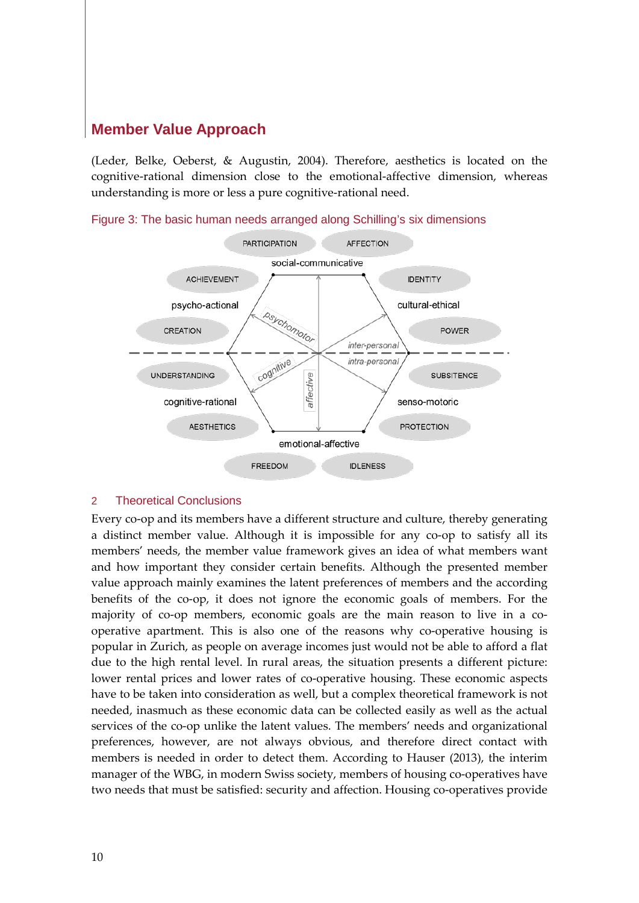[\(Leder, Belke, Oeberst, & Augustin, 2004\)](#page-17-24). Therefore, aesthetics is located on the cognitive-rational dimension close to the emotional-affective dimension, whereas understanding is more or less a pure cognitive-rational need.



<span id="page-10-0"></span>Figure 3: The basic human needs arranged along Schilling's six dimensions

#### 2 Theoretical Conclusions

Every co-op and its members have a different structure and culture, thereby generating a distinct member value. Although it is impossible for any co-op to satisfy all its members' needs, the member value framework gives an idea of what members want and how important they consider certain benefits. Although the presented member value approach mainly examines the latent preferences of members and the according benefits of the co-op, it does not ignore the economic goals of members. For the majority of co-op members, economic goals are the main reason to live in a cooperative apartment. This is also one of the reasons why co-operative housing is popular in Zurich, as people on average incomes just would not be able to afford a flat due to the high rental level. In rural areas, the situation presents a different picture: lower rental prices and lower rates of co-operative housing. These economic aspects have to be taken into consideration as well, but a complex theoretical framework is not needed, inasmuch as these economic data can be collected easily as well as the actual services of the co-op unlike the latent values. The members' needs and organizational preferences, however, are not always obvious, and therefore direct contact with members is needed in order to detect them. According to Hauser [\(2013\)](#page-17-12), the interim manager of the WBG, in modern Swiss society, members of housing co-operatives have two needs that must be satisfied: security and affection. Housing co-operatives provide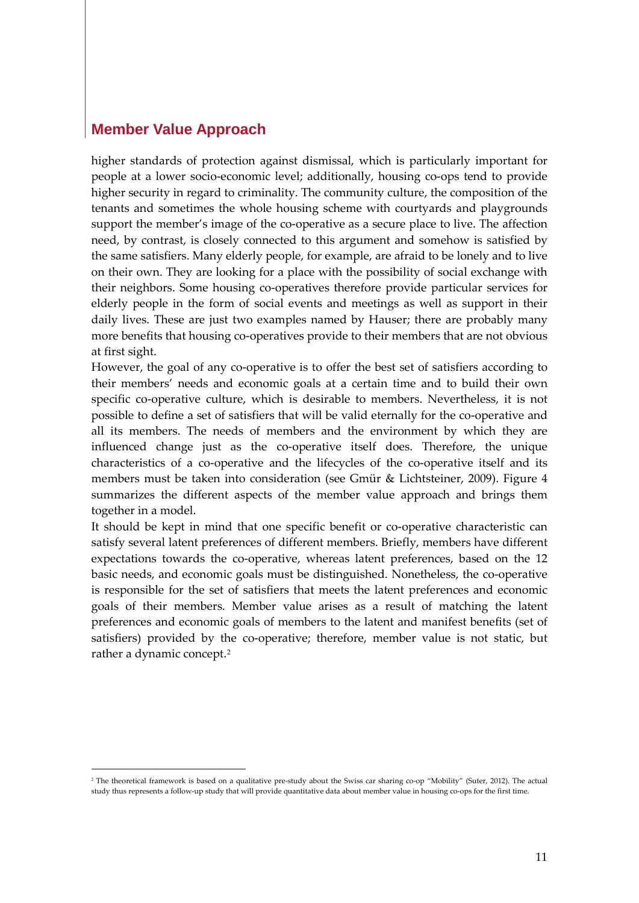higher standards of protection against dismissal, which is particularly important for people at a lower socio-economic level; additionally, housing co-ops tend to provide higher security in regard to criminality. The community culture, the composition of the tenants and sometimes the whole housing scheme with courtyards and playgrounds support the member's image of the co-operative as a secure place to live. The affection need, by contrast, is closely connected to this argument and somehow is satisfied by the same satisfiers. Many elderly people, for example, are afraid to be lonely and to live on their own. They are looking for a place with the possibility of social exchange with their neighbors. Some housing co-operatives therefore provide particular services for elderly people in the form of social events and meetings as well as support in their daily lives. These are just two examples named by Hauser; there are probably many more benefits that housing co-operatives provide to their members that are not obvious at first sight.

However, the goal of any co-operative is to offer the best set of satisfiers according to their members' needs and economic goals at a certain time and to build their own specific co-operative culture, which is desirable to members. Nevertheless, it is not possible to define a set of satisfiers that will be valid eternally for the co-operative and all its members. The needs of members and the environment by which they are influenced change just as the co-operative itself does. Therefore, the unique characteristics of a co-operative and the lifecycles of the co-operative itself and its members must be taken into consideration [\(see Gmür & Lichtsteiner, 2009\)](#page-17-25). [Figure 4](#page-12-0) summarizes the different aspects of the member value approach and brings them together in a model.

It should be kept in mind that one specific benefit or co-operative characteristic can satisfy several latent preferences of different members. Briefly, members have different expectations towards the co-operative, whereas latent preferences, based on the 12 basic needs, and economic goals must be distinguished. Nonetheless, the co-operative is responsible for the set of satisfiers that meets the latent preferences and economic goals of their members. Member value arises as a result of matching the latent preferences and economic goals of members to the latent and manifest benefits (set of satisfiers) provided by the co-operative; therefore, member value is not static, but rather a dynamic concept.[2](#page-11-0)

<span id="page-11-0"></span><sup>&</sup>lt;sup>2</sup> The theoretical framework is based on a qualitative pre-study about the Swiss car sharing co-op "Mobility" [\(Suter, 2012\)](#page-18-2). The actual study thus represents a follow-up study that will provide quantitative data about member value in housing co-ops for the first time.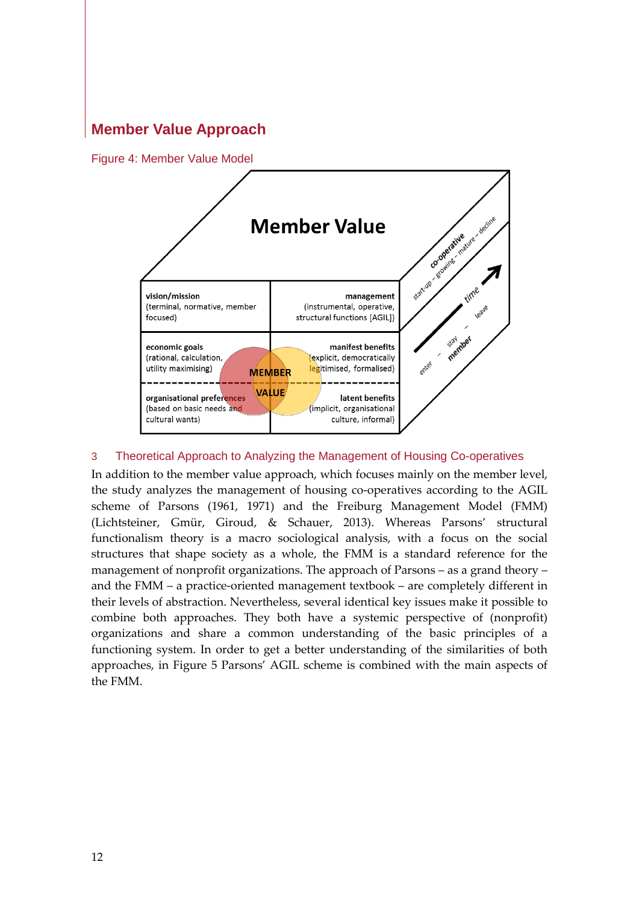<span id="page-12-0"></span>Figure 4: Member Value Model



#### 3 Theoretical Approach to Analyzing the Management of Housing Co-operatives

In addition to the member value approach, which focuses mainly on the member level, the study analyzes the management of housing co-operatives according to the AGIL scheme of Parsons [\(1961,](#page-17-26) [1971\)](#page-17-27) and the Freiburg Management Model (FMM) [\(Lichtsteiner, Gmür, Giroud, & Schauer, 2013\)](#page-17-28). Whereas Parsons' structural functionalism theory is a macro sociological analysis, with a focus on the social structures that shape society as a whole, the FMM is a standard reference for the management of nonprofit organizations. The approach of Parsons – as a grand theory – and the FMM – a practice-oriented management textbook – are completely different in their levels of abstraction. Nevertheless, several identical key issues make it possible to combine both approaches. They both have a systemic perspective of (nonprofit) organizations and share a common understanding of the basic principles of a functioning system. In order to get a better understanding of the similarities of both approaches, in [Figure 5](#page-13-0) Parsons' AGIL scheme is combined with the main aspects of the FMM.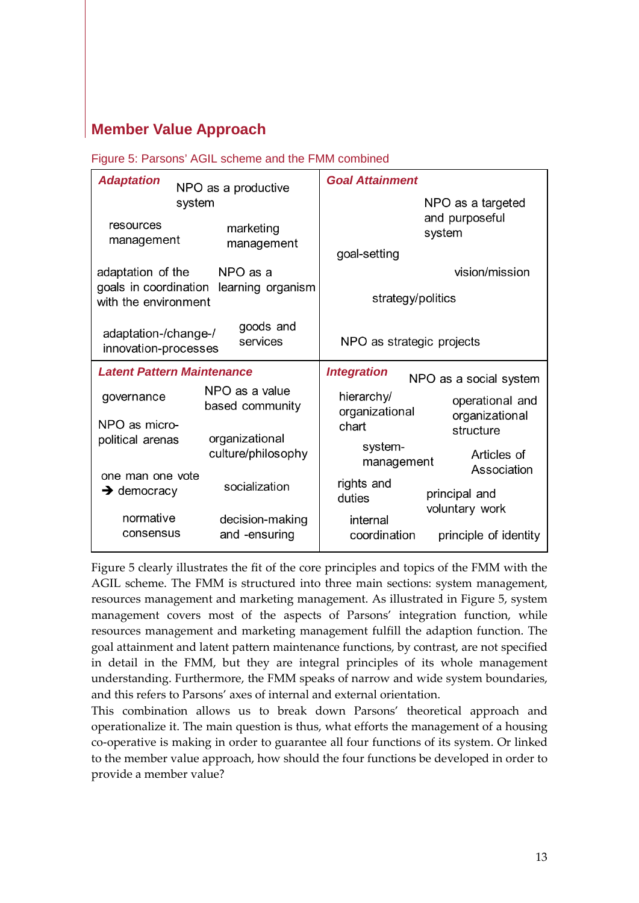<span id="page-13-0"></span>Figure 5: Parsons' AGIL scheme and the FMM combined

| <b>Adaptation</b>                                                     | NPO as a productive                  | <b>Goal Attainment</b>                                              |
|-----------------------------------------------------------------------|--------------------------------------|---------------------------------------------------------------------|
|                                                                       | system                               | NPO as a targeted                                                   |
| resources<br>management                                               | marketing                            | and purposeful<br>system                                            |
|                                                                       | management                           | goal-setting                                                        |
| adaptation of the<br>goals in coordination                            | NPO as a<br>learning organism        | vision/mission                                                      |
| with the environment                                                  |                                      | strategy/politics                                                   |
| goods and<br>adaptation-/change-/<br>services<br>innovation-processes |                                      | NPO as strategic projects                                           |
|                                                                       |                                      |                                                                     |
| <b>Latent Pattern Maintenance</b>                                     |                                      | <b>Integration</b><br>NPO as a social system                        |
| governance                                                            | NPO as a value<br>based community    | hierarchy/<br>operational and                                       |
| NPO as micro-                                                         |                                      | organizational<br>organizational<br>chart<br>structure              |
| political arenas                                                      | organizational<br>culture/philosophy | system-<br>Articles of<br>management<br>Association                 |
| one man one vote<br>$\rightarrow$ democracy                           | socialization                        | rights and<br>principal and<br>duties                               |
| normative<br>consensus                                                | decision-making<br>and -ensuring     | voluntary work<br>internal<br>coordination<br>principle of identity |

[Figure 5](#page-13-0) clearly illustrates the fit of the core principles and topics of the FMM with the AGIL scheme. The FMM is structured into three main sections: system management, resources management and marketing management. As illustrated in [Figure 5,](#page-13-0) system management covers most of the aspects of Parsons' integration function, while resources management and marketing management fulfill the adaption function. The goal attainment and latent pattern maintenance functions, by contrast, are not specified in detail in the FMM, but they are integral principles of its whole management understanding. Furthermore, the FMM speaks of narrow and wide system boundaries, and this refers to Parsons' axes of internal and external orientation.

This combination allows us to break down Parsons' theoretical approach and operationalize it. The main question is thus, what efforts the management of a housing co-operative is making in order to guarantee all four functions of its system. Or linked to the member value approach, how should the four functions be developed in order to provide a member value?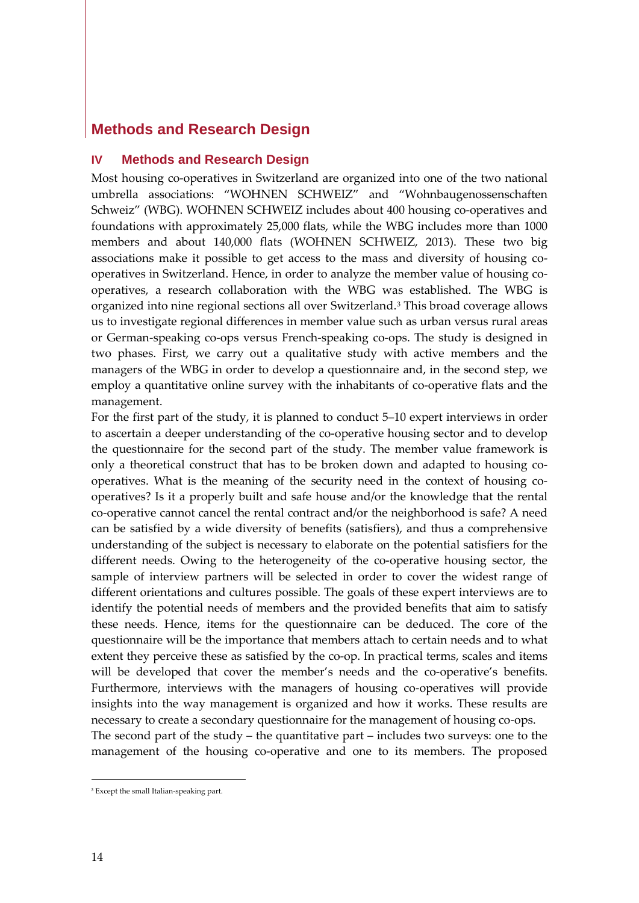# **Methods and Research Design**

#### **IV Methods and Research Design**

Most housing co-operatives in Switzerland are organized into one of the two national umbrella associations: "WOHNEN SCHWEIZ" and "Wohnbaugenossenschaften Schweiz" (WBG). WOHNEN SCHWEIZ includes about 400 housing co-operatives and foundations with approximately 25,000 flats, while the WBG includes more than 1000 members and about 140,000 flats [\(WOHNEN SCHWEIZ, 2013\)](#page-18-4). These two big associations make it possible to get access to the mass and diversity of housing cooperatives in Switzerland. Hence, in order to analyze the member value of housing cooperatives, a research collaboration with the WBG was established. The WBG is organized into nine regional sections all over Switzerland.[3](#page-14-0) This broad coverage allows us to investigate regional differences in member value such as urban versus rural areas or German-speaking co-ops versus French-speaking co-ops. The study is designed in two phases. First, we carry out a qualitative study with active members and the managers of the WBG in order to develop a questionnaire and, in the second step, we employ a quantitative online survey with the inhabitants of co-operative flats and the management.

For the first part of the study, it is planned to conduct 5–10 expert interviews in order to ascertain a deeper understanding of the co-operative housing sector and to develop the questionnaire for the second part of the study. The member value framework is only a theoretical construct that has to be broken down and adapted to housing cooperatives. What is the meaning of the security need in the context of housing cooperatives? Is it a properly built and safe house and/or the knowledge that the rental co-operative cannot cancel the rental contract and/or the neighborhood is safe? A need can be satisfied by a wide diversity of benefits (satisfiers), and thus a comprehensive understanding of the subject is necessary to elaborate on the potential satisfiers for the different needs. Owing to the heterogeneity of the co-operative housing sector, the sample of interview partners will be selected in order to cover the widest range of different orientations and cultures possible. The goals of these expert interviews are to identify the potential needs of members and the provided benefits that aim to satisfy these needs. Hence, items for the questionnaire can be deduced. The core of the questionnaire will be the importance that members attach to certain needs and to what extent they perceive these as satisfied by the co-op. In practical terms, scales and items will be developed that cover the member's needs and the co-operative's benefits. Furthermore, interviews with the managers of housing co-operatives will provide insights into the way management is organized and how it works. These results are necessary to create a secondary questionnaire for the management of housing co-ops. The second part of the study – the quantitative part – includes two surveys: one to the management of the housing co-operative and one to its members. The proposed

<span id="page-14-0"></span><sup>&</sup>lt;sup>3</sup> Except the small Italian-speaking part.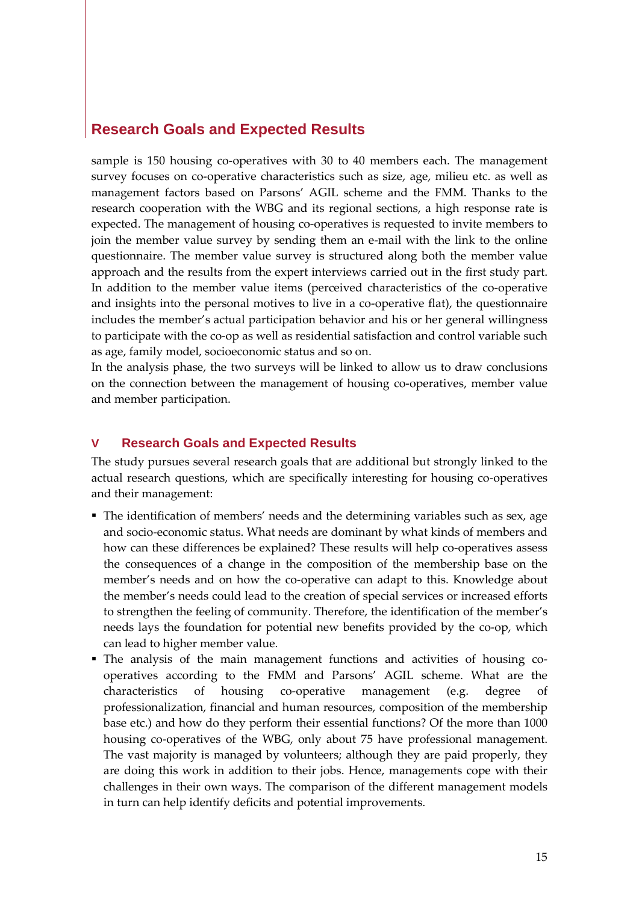#### **Research Goals and Expected Results**

sample is 150 housing co-operatives with 30 to 40 members each. The management survey focuses on co-operative characteristics such as size, age, milieu etc. as well as management factors based on Parsons' AGIL scheme and the FMM. Thanks to the research cooperation with the WBG and its regional sections, a high response rate is expected. The management of housing co-operatives is requested to invite members to join the member value survey by sending them an e-mail with the link to the online questionnaire. The member value survey is structured along both the member value approach and the results from the expert interviews carried out in the first study part. In addition to the member value items (perceived characteristics of the co-operative and insights into the personal motives to live in a co-operative flat), the questionnaire includes the member's actual participation behavior and his or her general willingness to participate with the co-op as well as residential satisfaction and control variable such as age, family model, socioeconomic status and so on.

In the analysis phase, the two surveys will be linked to allow us to draw conclusions on the connection between the management of housing co-operatives, member value and member participation.

#### **V Research Goals and Expected Results**

The study pursues several research goals that are additional but strongly linked to the actual research questions, which are specifically interesting for housing co-operatives and their management:

- The identification of members' needs and the determining variables such as sex, age and socio-economic status. What needs are dominant by what kinds of members and how can these differences be explained? These results will help co-operatives assess the consequences of a change in the composition of the membership base on the member's needs and on how the co-operative can adapt to this. Knowledge about the member's needs could lead to the creation of special services or increased efforts to strengthen the feeling of community. Therefore, the identification of the member's needs lays the foundation for potential new benefits provided by the co-op, which can lead to higher member value.
- The analysis of the main management functions and activities of housing cooperatives according to the FMM and Parsons' AGIL scheme. What are the characteristics of housing co-operative management (e.g. degree of professionalization, financial and human resources, composition of the membership base etc.) and how do they perform their essential functions? Of the more than 1000 housing co-operatives of the WBG, only about 75 have professional management. The vast majority is managed by volunteers; although they are paid properly, they are doing this work in addition to their jobs. Hence, managements cope with their challenges in their own ways. The comparison of the different management models in turn can help identify deficits and potential improvements.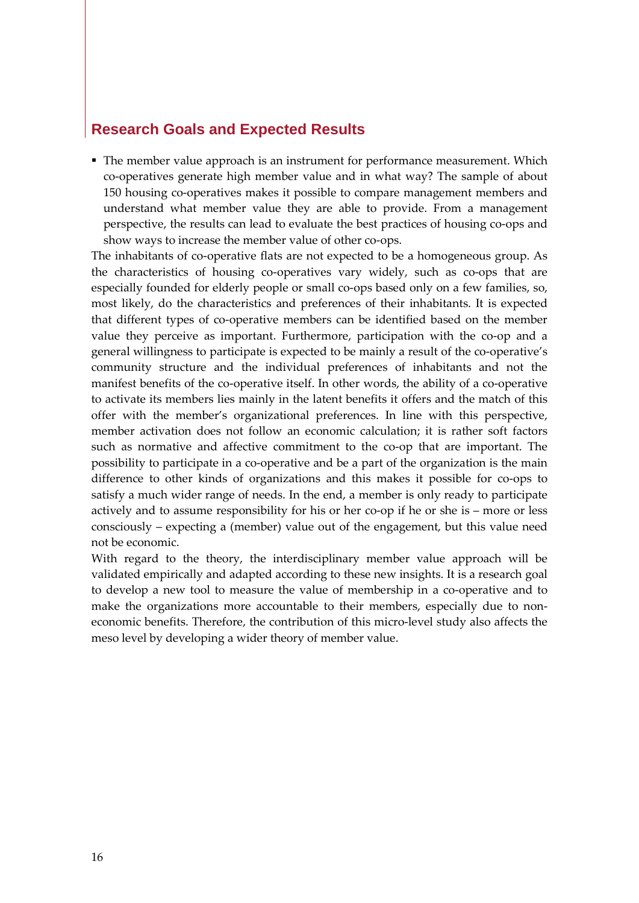## **Research Goals and Expected Results**

• The member value approach is an instrument for performance measurement. Which co-operatives generate high member value and in what way? The sample of about 150 housing co-operatives makes it possible to compare management members and understand what member value they are able to provide. From a management perspective, the results can lead to evaluate the best practices of housing co-ops and show ways to increase the member value of other co-ops.

The inhabitants of co-operative flats are not expected to be a homogeneous group. As the characteristics of housing co-operatives vary widely, such as co-ops that are especially founded for elderly people or small co-ops based only on a few families, so, most likely, do the characteristics and preferences of their inhabitants. It is expected that different types of co-operative members can be identified based on the member value they perceive as important. Furthermore, participation with the co-op and a general willingness to participate is expected to be mainly a result of the co-operative's community structure and the individual preferences of inhabitants and not the manifest benefits of the co-operative itself. In other words, the ability of a co-operative to activate its members lies mainly in the latent benefits it offers and the match of this offer with the member's organizational preferences. In line with this perspective, member activation does not follow an economic calculation; it is rather soft factors such as normative and affective commitment to the co-op that are important. The possibility to participate in a co-operative and be a part of the organization is the main difference to other kinds of organizations and this makes it possible for co-ops to satisfy a much wider range of needs. In the end, a member is only ready to participate actively and to assume responsibility for his or her co-op if he or she is – more or less consciously – expecting a (member) value out of the engagement, but this value need not be economic.

With regard to the theory, the interdisciplinary member value approach will be validated empirically and adapted according to these new insights. It is a research goal to develop a new tool to measure the value of membership in a co-operative and to make the organizations more accountable to their members, especially due to noneconomic benefits. Therefore, the contribution of this micro-level study also affects the meso level by developing a wider theory of member value.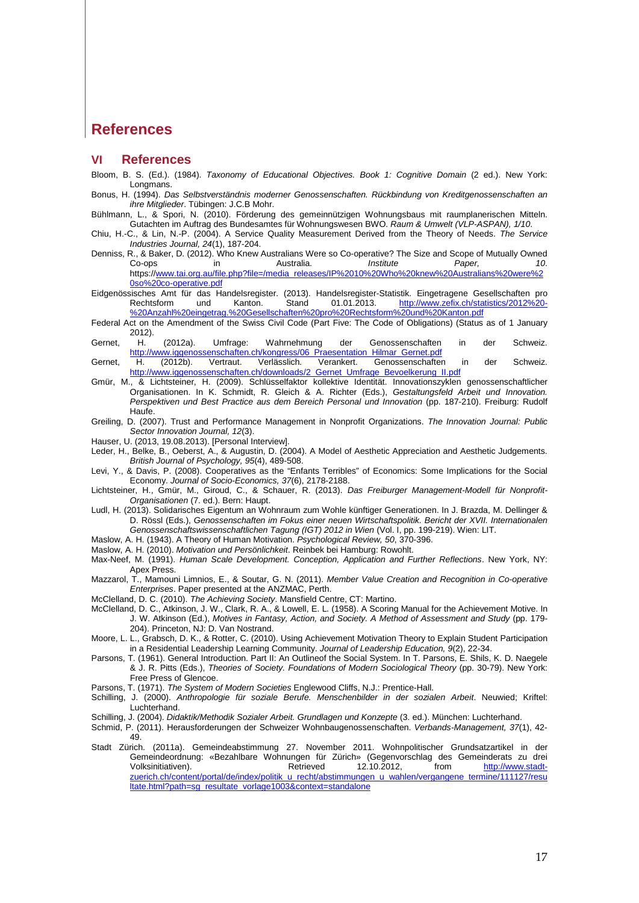#### **References**

#### **VI References**

- <span id="page-17-23"></span>Bloom, B. S. (Ed.). (1984). *Taxonomy of Educational Objectives. Book 1: Cognitive Domain* (2 ed.). New York: Longmans.
- <span id="page-17-19"></span>Bonus, H. (1994). *Das Selbstverständnis moderner Genossenschaften. Rückbindung von Kreditgenossenschaften an ihre Mitglieder*. Tübingen: J.C.B Mohr.
- <span id="page-17-11"></span>Bühlmann, L., & Spori, N. (2010). Förderung des gemeinnützigen Wohnungsbaus mit raumplanerischen Mitteln. Gutachten im Auftrag des Bundesamtes für Wohnungswesen BWO. *Raum & Umwelt (VLP-ASPAN), 1/10*.
- <span id="page-17-17"></span>Chiu, H.-C., & Lin, N.-P. (2004). A Service Quality Measurement Derived from the Theory of Needs. *The Service Industries Journal, 24*(1), 187-204.
- <span id="page-17-1"></span>Denniss, R., & Baker, D. (2012). Who Knew Australians Were so Co-operative? The Size and Scope of Mutually Owned<br>10. 10. The Mustralia. Institute Paper, 20. Co-ops in Australia. *Institute Paper, 10*. https:/[/www.tai.org.au/file.php?file=/media\\_releases/IP%2010%20Who%20knew%20Australians%20were%2](http://www.tai.org.au/file.php?file=/media_releases/IP%2010%20Who%20knew%20Australians%20were%20so%20co-operative.pdf) [0so%20co-operative.pdf](http://www.tai.org.au/file.php?file=/media_releases/IP%2010%20Who%20knew%20Australians%20were%20so%20co-operative.pdf)
- <span id="page-17-0"></span>Eidgenössisches Amt für das Handelsregister. (2013). Handelsregister-Statistik. Eingetragene Gesellschaften pro<br>Rechtsform und Kanton. Stand 01.01.2013. http://www.zefix.ch/statistics/2012%20[http://www.zefix.ch/statistics/2012%20-](http://www.zefix.ch/statistics/2012%20-%20Anzahl%20eingetrag.%20Gesellschaften%20pro%20Rechtsform%20und%20Kanton.pdf) [%20Anzahl%20eingetrag.%20Gesellschaften%20pro%20Rechtsform%20und%20Kanton.pdf](http://www.zefix.ch/statistics/2012%20-%20Anzahl%20eingetrag.%20Gesellschaften%20pro%20Rechtsform%20und%20Kanton.pdf)
- <span id="page-17-8"></span>Federal Act on the Amendment of the Swiss Civil Code (Part Five: The Code of Obligations) (Status as of 1 January 2012).
- <span id="page-17-2"></span>Gernet, H. (2012a). Umfrage: Wahrnehmung der Genossenschaften in der Schweiz. [http://www.iggenossenschaften.ch/kongress/06\\_Praesentation\\_Hilmar\\_Gernet.pdf](http://www.iggenossenschaften.ch/kongress/06_Praesentation_Hilmar_Gernet.pdf)<br>H. (2012b). Vertraut. Verlässlich. Verankert. Genossenschafter
- <span id="page-17-3"></span>Gernet, H. (2012b). Vertraut. Verlässlich. Verankert. Genossenschaften in der Schweiz.<br>http://www.iggenossenschaften.ch/downloads/2\_Gernet\_Umfrage\_Bevoelkerung\_II.pdf ww.iggenossenschaften.ch/downloads/2\_Gernet\_Umfrage\_Bevoelkerung\_II.pdf
- <span id="page-17-25"></span>Gmür, M., & Lichtsteiner, H. (2009). Schlüsselfaktor kollektive Identität. Innovationszyklen genossenschaftlicher Organisationen. In K. Schmidt, R. Gleich & A. Richter (Eds.), *Gestaltungsfeld Arbeit und Innovation. Perspektiven und Best Practice aus dem Bereich Personal und Innovation* (pp. 187-210). Freiburg: Rudolf Haufe.
- <span id="page-17-10"></span>Greiling, D. (2007). Trust and Performance Management in Nonprofit Organizations. *The Innovation Journal: Public Sector Innovation Journal, 12*(3).
- <span id="page-17-12"></span>Hauser, U. (2013, 19.08.2013). [Personal Interview].
- <span id="page-17-24"></span>Leder, H., Belke, B., Oeberst, A., & Augustin, D. (2004). A Model of Aesthetic Appreciation and Aesthetic Judgements. *British Journal of Psychology, 95*(4), 489-508.
- <span id="page-17-7"></span>Levi, Y., & Davis, P. (2008). Cooperatives as the "Enfants Terribles" of Economics: Some Implications for the Social Economy. *Journal of Socio-Economics, 37*(6), 2178-2188.
- <span id="page-17-28"></span>Lichtsteiner, H., Gmür, M., Giroud, C., & Schauer, R. (2013). *Das Freiburger Management-Modell für Nonprofit-Organisationen* (7. ed.). Bern: Haupt.
- <span id="page-17-9"></span>Ludl, H. (2013). Solidarisches Eigentum an Wohnraum zum Wohle künftiger Generationen. In J. Brazda, M. Dellinger & D. Rössl (Eds.), *Genossenschaften im Fokus einer neuen Wirtschaftspolitik. Bericht der XVII. Internationalen Genossenschaftswissenschaftlichen Tagung (IGT) 2012 in Wien* (Vol. I, pp. 199-219). Wien: LIT.
- <span id="page-17-13"></span>Maslow, A. H. (1943). A Theory of Human Motivation. *Psychological Review, 50*, 370-396.
- <span id="page-17-14"></span>Maslow, A. H. (2010). *Motivation und Persönlichkeit*. Reinbek bei Hamburg: Rowohlt.
- <span id="page-17-16"></span>Max-Neef, M. (1991). *Human Scale Development. Conception, Application and Further Reflections*. New York, NY: Apex Press.
- <span id="page-17-6"></span>Mazzarol, T., Mamouni Limnios, E., & Soutar, G. N. (2011). *Member Value Creation and Recognition in Co-operative Enterprises*. Paper presented at the ANZMAC, Perth.

<span id="page-17-15"></span>McClelland, D. C. (2010). *The Achieving Society*. Mansfield Centre, CT: Martino.

- <span id="page-17-18"></span>McClelland, D. C., Atkinson, J. W., Clark, R. A., & Lowell, E. L. (1958). A Scoring Manual for the Achievement Motive. In J. W. Atkinson (Ed.), *Motives in Fantasy, Action, and Society. A Method of Assessment and Study* (pp. 179- 204). Princeton, NJ: D. Van Nostrand.
- <span id="page-17-20"></span>Moore, L. L., Grabsch, D. K., & Rotter, C. (2010). Using Achievement Motivation Theory to Explain Student Participation in a Residential Leadership Learning Community. *Journal of Leadership Education, 9*(2), 22-34.
- <span id="page-17-26"></span>Parsons, T. (1961). General Introduction. Part II: An Outlineof the Social System. In T. Parsons, E. Shils, K. D. Naegele & J. R. Pitts (Eds.), *Theories of Society. Foundations of Modern Sociological Theory* (pp. 30-79). New York: Free Press of Glencoe.
- <span id="page-17-27"></span>Parsons, T. (1971). *The System of Modern Societies* Englewood Cliffs, N.J.: Prentice-Hall.
- <span id="page-17-21"></span>Schilling, J. (2000). *Anthropologie für soziale Berufe. Menschenbilder in der sozialen Arbeit*. Neuwied; Kriftel: Luchterhand.
- <span id="page-17-22"></span>Schilling, J. (2004). *Didaktik/Methodik Sozialer Arbeit. Grundlagen und Konzepte* (3. ed.). München: Luchterhand.
- <span id="page-17-4"></span>Schmid, P. (2011). Herausforderungen der Schweizer Wohnbaugenossenschaften. *Verbands-Management, 37*(1), 42- 49.
- <span id="page-17-5"></span>Stadt Zürich. (2011a). Gemeindeabstimmung 27. November 2011. Wohnpolitischer Grundsatzartikel in der Gemeindeordnung: «Bezahlbare Wohnungen für Zürich» (Gegenvorschlag des Gemeinderats zu drei<br>Volksinitiativen). Retrieved 12.10.2012, from http://www.stadt[http://www.stadt](http://www.stadt-zuerich.ch/content/portal/de/index/politik_u_recht/abstimmungen_u_wahlen/vergangene_termine/111127/resultate.html?path=sg_resultate_vorlage1003&context=standalone)[zuerich.ch/content/portal/de/index/politik\\_u\\_recht/abstimmungen\\_u\\_wahlen/vergangene\\_termine/111127/resu](http://www.stadt-zuerich.ch/content/portal/de/index/politik_u_recht/abstimmungen_u_wahlen/vergangene_termine/111127/resultate.html?path=sg_resultate_vorlage1003&context=standalone) [ltate.html?path=sg\\_resultate\\_vorlage1003&context=standalone](http://www.stadt-zuerich.ch/content/portal/de/index/politik_u_recht/abstimmungen_u_wahlen/vergangene_termine/111127/resultate.html?path=sg_resultate_vorlage1003&context=standalone)